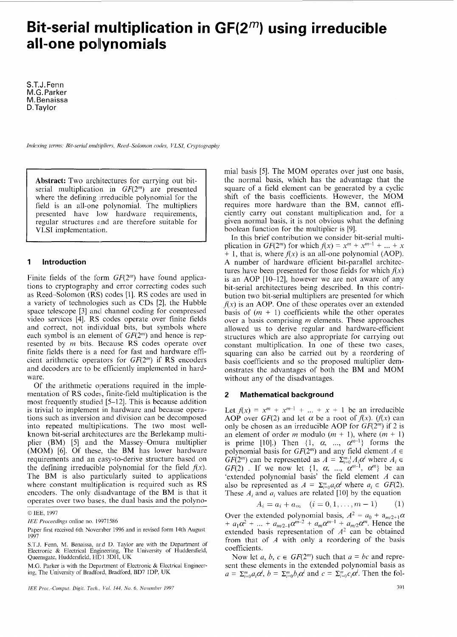# **Bit-serial rnultiplication in GF(2m) using irreducible all-one polynomials**

S.T.J.Fenn M.G.Parker M.Benaissa D. Taylor

*Indexing terms: Bit-serial multipliers, Reed-Solomon codes, VLSI, Cryptography* 

**Abstract:** Two architectures for carrying out bitserial multiplication in  $GF(2<sup>m</sup>)$  are presented where the defining irreducible polynomial for the field is an all-one polynomial. The multipliers presented have low hardware requirements, regular structures and are therefore suitable for VLSl implementation.

## **1 Introduction**

Finite fields of the form  $GF(2<sup>m</sup>)$  have found applications to cryptography and error correcting codes such as Reed-Solomon (RS) codes [l]. RS codes are used in a variety of technologies such as CDs *[2],* the Hubble space telescope [3] and channel coding for compressed video services [4]. RS codes operate over finite fields and correct, not individual bits, but symbols where each symbol is an element of *GF(2")* and hence is represented by *m* bits. Because RS codes operate over finite fields there is a need for fast and hardware efficient arithmetic operators for  $GF(2<sup>m</sup>)$  if RS encoders and decoders are to be efficiently implemented in hardware.

Of the arithmetic operations required in the implementation of RS codes, finite-field multiplication is the most frequently studied [5-121. This is because addition is trivial to implement in hardware and because operations such as inversion and division can be decomposed into repeated multiplications. The two most wellknown bit-serial architectures are the Berlekamp multiplier (BM) [5] and the Massey-Omura multiplier (MOM) [6]. Of these, the BM has lower hardware requirements and an easy-to-derive structure based on the defining irreducible polynomial for the field  $f(x)$ . The BM is also particularly suited to applications where constant multiplication is required such as RS encoders. The only disadvantage of the BM is that it operates over two bases, the dual basis and the polynomial basis [5]. The MOM operates over just one basis, the normal basis, which has the advantage that the square of a field element can be generated by a cyclic shift of the basis coefficients. However, the MOM requires more hardware than the BM, cannot efficiently carry out constant multiplication and, for a given normal basis, it is not obvious what the defining boolean function for the multiplier is [9].

In this brief contribution we consider bit-serial multiplication in *GF*(2<sup>m</sup>) for which  $f(x) = x^m + x^{m-1} + ... + x$  $+$  1, that is, where  $f(x)$  is an all-one polynomial (AOP). **A** number of hardware efficient bit-parallel architectures have been presented for those fields for which  $f(x)$ is an AOP [10-12], however we are not aware of any bit-serial architectures being described. In this contribution two bit-serial multipliers are presented for which  $f(x)$  is an AOP. One of these operates over an extended basis of  $(m + 1)$  coefficients while the other operates over a basis comprising *m* elements. These approaches allowed us to derive regular and hardware-efficient structures which are also appropriate for carrying out constant multiplication. In one of these two cases, squaring can also be carried out by a reordering of basis coefficients and so the proposed multiplier demonstrates the advantages of both the BM and MOM without any of the disadvantages.

#### **2 Mathematical background**

Let  $f(x) = x^m + x^{m-1} + ... + x + 1$  be an irreducible AOP over *GF*(2) and let  $\alpha$  be a root of  $f(x)$ . *(f(x)* can only be chosen as an irreducible AOP for *GF(2")* if 2 is an element of order *m* modulo  $(m + 1)$ , where  $(m + 1)$ is prime [10].) Then  $\{1, \alpha, \dots, \alpha^{m-1}\}$  forms the polynomial basis for  $GF(2<sup>m</sup>)$  and any field element  $A \in$  $GF(2<sup>m</sup>)$  can be represented as  $A = \sum_{i=0}^{m-1} A_i \alpha^i$  where  $A_i \in$  $GF(2)$ . If we now let  $\{1, \alpha, \dots, \alpha^{m-1}, \alpha^m\}$  be an 'extended polynomial basis' the field element *A* can also be represented as  $A = \sum_{i=0}^{m} a_i \alpha^i$  where  $a_i \in GF(2)$ . These  $A_i$  and  $a_i$  values are related [10] by the equation  $A_i = a_i + a_m$   $(i = 0, 1, ..., m - 1)$  (1)

$$
A_i = a_i + a_m \quad (i = 0, 1, \dots, m - 1) \tag{1}
$$

Over the extended polynomial basis,  $A^2 = a_0 + a_{m/2+1}\alpha$ +  $a_1\alpha^2$  + ... +  $a_{m2-1}\alpha^{m-2}$  +  $a_m\alpha^{m-1}$  +  $a_{m2}\alpha^m$ . Hence the extended basis representation of  $A^2$  can be obtained from that of *A* with only a reordering of the basis coefficients.

Now let *a*, *b*,  $c \in GF(2^m)$  such that  $a = bc$  and represent these elements in the extended polynomial basis as  $a = \sum_{i=0}^{m} a_i \alpha^i$ ,  $b = \sum_{i=0}^{m} b_i \alpha^i$  and  $c = \sum_{i=0}^{m} c_i \alpha^i$ . Then the fol-

*<sup>0</sup>* IEE, 1997

*IEE Proceedings* online no. 19971586

Paper first received 6th November 1996 and in revised form 14th August 1997

**S.T.J.** Fenn, M. Benaissa, ard D. Taylor are with the Department of Electronic & Electrical Engineering, The University of Huddersfield, Queensgate, Huddersfield, HD1 3DH, UK

M.G. Parker is with the Department of Electronic & Electrical Engineering, The University of Bradford, Bradford, BD7 1DP, UK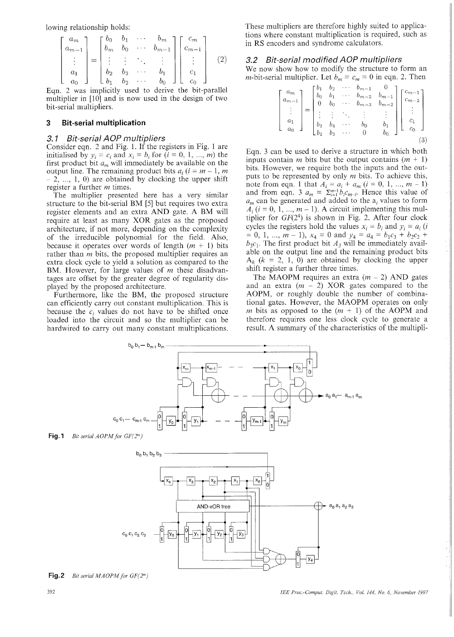lowing relationship holds:

$$
\begin{bmatrix} a_m \\ a_{m-1} \\ \vdots \\ a_1 \\ a_0 \end{bmatrix} = \begin{bmatrix} b_0 & b_1 & \cdots & b_m \\ b_m & b_0 & \cdots & b_{m-1} \\ \vdots & \vdots & \ddots & \vdots \\ b_2 & b_3 & \cdots & b_1 \\ b_1 & b_2 & \cdots & b_0 \end{bmatrix} \begin{bmatrix} c_m \\ c_{m-1} \\ \vdots \\ c_1 \\ c_0 \end{bmatrix}
$$
 (2)

Equ. 2 was implicitly used to derive the bit-parallel multiplier in [10] and is now used in the design of two bit-serial multipliers.

#### $\overline{3}$ **it-serial multiplication**

#### *3. I Bit-serial AOP multipliers*

Consider eqn. *2* and Fig. 1. If the registers in Fig. 1 are initialised by  $y_i = c_i$  and  $x_i = b_i$  for  $(i = 0, 1, ..., m)$  the first product bit  $a_m$  will immediately be available on the output line. The remaining product bits  $a_i$  ( $i = m - 1$ , *m*  $-2, \ldots, 1, 0$  are obtained by clocking the upper shift register a further *m* times.

The multiplier presented here has a very similar structure to the bit-serial BM *[5]* but requires two extra register elements and an extra AND gate. A BM will require at least as many XOR gates as the proposed architecture, if not more, depending on the complexity of the irreducible polynomial for the field. Also, because it operates over words of length  $(m + 1)$  bits rather than *m* bits, the proposed multiplier requires an extra clock cycle to yield a solution as compared to the BM. However, for large values of *m* these disadvantages are offset by the greater degree of regularity displayed by the proposed architecture.

Furthermore, like the BM, the proposed structure can efficiently carry out constant multiplication. This is because the  $c_i$  values do not have to be shifted once loaded into the circuit and so the multiplier can be hardwired to carry out many constant multiplications.

These multipliers are therefore highly suited to applications where constant multiplication is required, such as in RS encoders and syndrome calculators.

## *3.2 Bit-serial modified AOP multipliers*

We now show how to modify the structure to form an *m*-bit-serial multiplier. Let  $b_m = c_m = 0$  in eqn. 2. Then

$$
\begin{bmatrix} a_m \\ a_{m-1} \\ \vdots \\ a_1 \\ a_0 \end{bmatrix} = \begin{bmatrix} b_1 & b_2 & \cdots & b_{m-1} & 0 \\ b_0 & b_1 & \cdots & b_{m-2} & b_{m-1} \\ 0 & b_0 & \cdots & b_{m-3} & b_{m-2} \\ \vdots & \vdots & \ddots & \vdots & \vdots \\ b_3 & b_4 & \cdots & b_0 & b_1 \\ b_2 & b_3 & \cdots & 0 & b_0 \end{bmatrix} \begin{bmatrix} c_{m-1} \\ c_{m-2} \\ \vdots \\ c_1 \\ c_0 \end{bmatrix}
$$
 (3)

Eqn. 3 can be used to derive a structure in which both inputs contain *m* bits but the output contains  $(m + 1)$ bits. However, we require both the inputs and the outputs to be represented by only *m* bits. To achieve this, puts to be represented by only *m* bits. To achieve this,<br>note from eqn. 1 that  $A_i = a_i + a_m$   $(i = 0, 1, ..., m - 1)$ and from eqn. 3  $a_m = \sum_{i=1}^{m-1} b_i c_{m-i}$ . Hence this value of  $a_m$  can be generated and added to the  $a_i$  values to form  $A_i$  ( $i = 0, 1, ..., m - 1$ ). A circuit implementing this multiplier for  $GF(2^4)$  is shown in Fig. 2. After four clock cycles the registers hold the values  $x_i = b_i$  and  $y_i = a_i$  (*i*  $= 0, 1, ..., m - 1$ ,  $x_4 = 0$  and  $y_4 = a_4 = b_1c_3 + b_2c_2 +$  $b_3c_1$ . The first product bit  $A_3$  will be immediately available on the output line and the remaining product bits  $A_k$  ( $k = 2, 1, 0$ ) are obtained by clocking the upper shift register a further three times.

The MAOPM requires an extra  $(m - 2)$  AND gates and an extra  $(m - 2)$  XOR gates compared to the AOPM, or roughly double the number of combinational gates. However, the MAOPM operates on only *m* bits as opposed to the  $(m + 1)$  of the AOPM and therefore requires one less clock cycle to generate a result. A summary of the characteristics of the multipli-





**Fig.2** *Bit serial MAOPM for GF(2")*